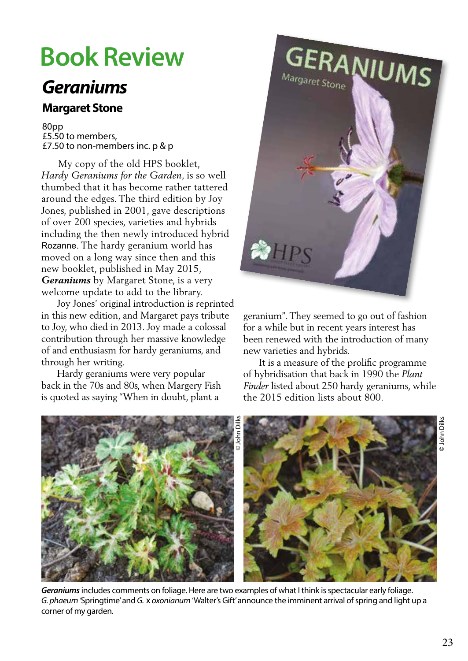## **Book Review**

## *Geraniums*

## **Margaret Stone**

80pp £5.50 to members, £7.50 to non-members inc. p & p

 My copy of the old HPS booklet, *Hardy Geraniums for the Garden*, is so well thumbed that it has become rather tattered around the edges. The third edition by Joy Jones, published in 2001, gave descriptions of over 200 species, varieties and hybrids including the then newly introduced hybrid Rozanne. The hardy geranium world has moved on a long way since then and this new booklet, published in May 2015, *Geraniums* by Margaret Stone, is a very welcome update to add to the library.

 Joy Jones' original introduction is reprinted in this new edition, and Margaret pays tribute to Joy, who died in 2013. Joy made a colossal contribution through her massive knowledge of and enthusiasm for hardy geraniums, and through her writing.

 Hardy geraniums were very popular back in the 70s and 80s, when Margery Fish is quoted as saying "When in doubt, plant a



geranium". They seemed to go out of fashion for a while but in recent years interest has been renewed with the introduction of many new varieties and hybrids.

 It is a measure of the prolific programme of hybridisation that back in 1990 the *Plant Finder* listed about 250 hardy geraniums, while the 2015 edition lists about 800.



*Geraniums* includes comments on foliage. Here are two examples of what I think is spectacular early foliage. *G. phaeum '*Springtime' and *G.* x *oxonianum* 'Walter's Gift' announce the imminent arrival of spring and light up a corner of my garden.